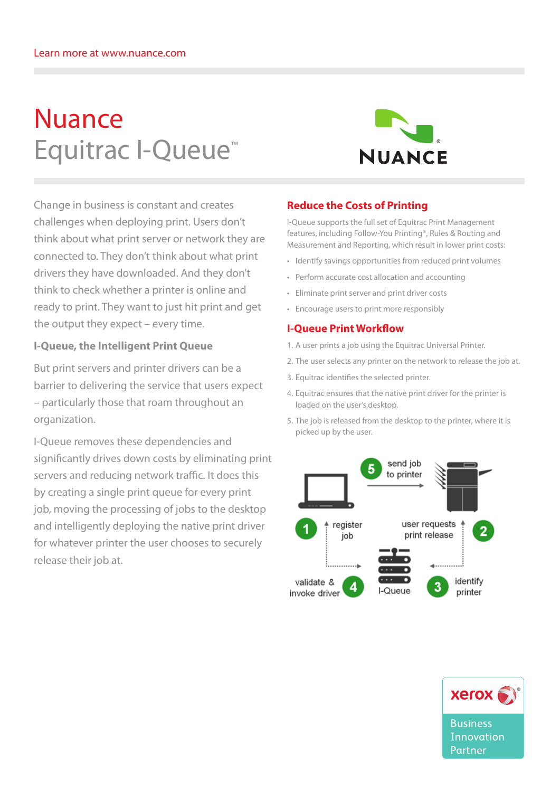# Nuance Equitrac I-Queue™



Change in business is constant and creates challenges when deploying print. Users don't think about what print server or network they are connected to. They don't think about what print drivers they have downloaded. And they don't think to check whether a printer is online and ready to print. They want to just hit print and get the output they expect – every time.

### **I-Queue, the Intelligent Print Queue**

But print servers and printer drivers can be a barrier to delivering the service that users expect – particularly those that roam throughout an organization.

I-Queue removes these dependencies and significantly drives down costs by eliminating print servers and reducing network traffic. It does this by creating a single print queue for every print job, moving the processing of jobs to the desktop and intelligently deploying the native print driver for whatever printer the user chooses to securely release their job at.

## **Reduce the Costs of Printing**

I-Queue supports the full set of Equitrac Print Management features, including Follow-You Printing®, Rules & Routing and Measurement and Reporting, which result in lower print costs:

- • Identify savings opportunities from reduced print volumes
- • Perform accurate cost allocation and accounting
- • Eliminate print server and print driver costs
- • Encourage users to print more responsibly

#### **I-Queue Print Workflow**

- 1. A user prints a job using the Equitrac Universal Printer.
- 2. The user selects any printer on the network to release the job at.
- 3. Equitrac identifies the selected printer.
- 4. Equitrac ensures that the native print driver for the printer is loaded on the user's desktop.
- 5. The job is released from the desktop to the printer, where it is picked up by the user.